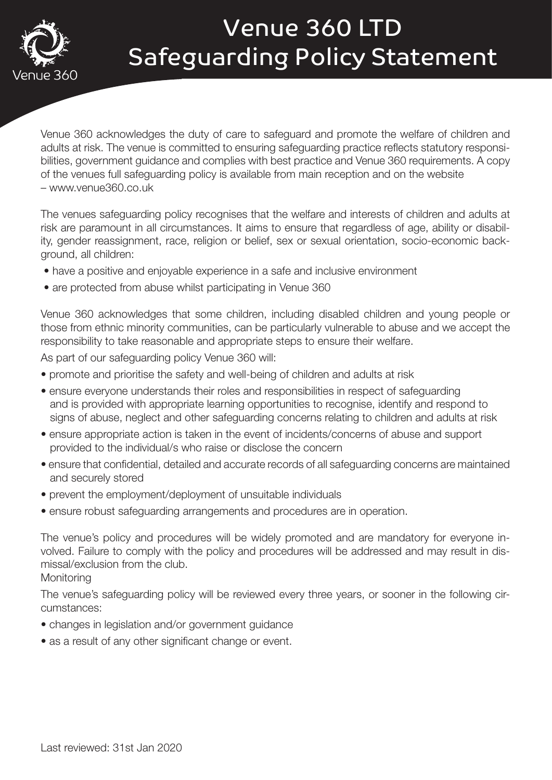

# Venue 360 LTD Safeguarding Policy Statement

Venue 360 acknowledges the duty of care to safeguard and promote the welfare of children and adults at risk. The venue is committed to ensuring safeguarding practice reflects statutory responsibilities, government guidance and complies with best practice and Venue 360 requirements. A copy of the venues full safeguarding policy is available from main reception and on the website – www.venue360.co.uk

The venues safeguarding policy recognises that the welfare and interests of children and adults at risk are paramount in all circumstances. It aims to ensure that regardless of age, ability or disability, gender reassignment, race, religion or belief, sex or sexual orientation, socio-economic background, all children:

- have a positive and enjoyable experience in a safe and inclusive environment
- are protected from abuse whilst participating in Venue 360

Venue 360 acknowledges that some children, including disabled children and young people or those from ethnic minority communities, can be particularly vulnerable to abuse and we accept the responsibility to take reasonable and appropriate steps to ensure their welfare.

As part of our safeguarding policy Venue 360 will:

- promote and prioritise the safety and well-being of children and adults at risk
- ensure everyone understands their roles and responsibilities in respect of safeguarding and is provided with appropriate learning opportunities to recognise, identify and respond to signs of abuse, neglect and other safeguarding concerns relating to children and adults at risk
- ensure appropriate action is taken in the event of incidents/concerns of abuse and support provided to the individual/s who raise or disclose the concern
- ensure that confidential, detailed and accurate records of all safeguarding concerns are maintained and securely stored
- prevent the employment/deployment of unsuitable individuals
- ensure robust safeguarding arrangements and procedures are in operation.

The venue's policy and procedures will be widely promoted and are mandatory for everyone involved. Failure to comply with the policy and procedures will be addressed and may result in dismissal/exclusion from the club.

**Monitoring** 

The venue's safeguarding policy will be reviewed every three years, or sooner in the following circumstances:

- changes in legislation and/or government guidance
- as a result of any other significant change or event.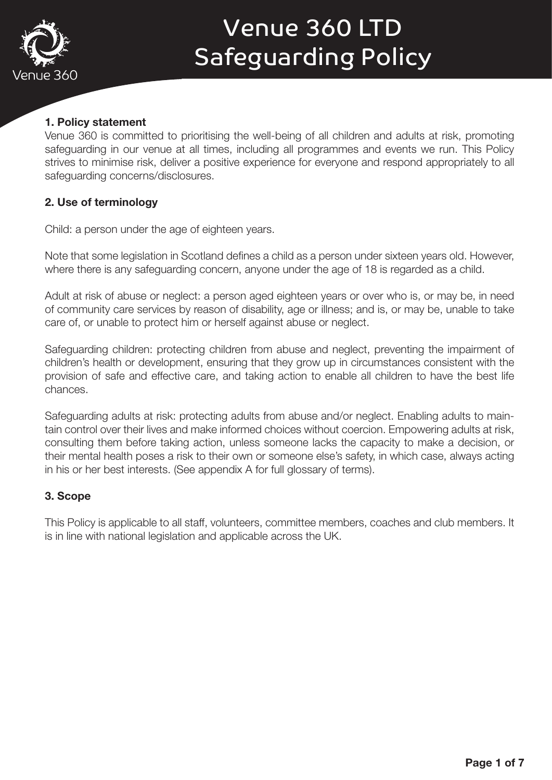

#### 1. Policy statement

Venue 360 is committed to prioritising the well-being of all children and adults at risk, promoting safeguarding in our venue at all times, including all programmes and events we run. This Policy strives to minimise risk, deliver a positive experience for everyone and respond appropriately to all safeguarding concerns/disclosures.

#### 2. Use of terminology

Child: a person under the age of eighteen years.

Note that some legislation in Scotland defines a child as a person under sixteen years old. However, where there is any safeguarding concern, anyone under the age of 18 is regarded as a child.

Adult at risk of abuse or neglect: a person aged eighteen years or over who is, or may be, in need of community care services by reason of disability, age or illness; and is, or may be, unable to take care of, or unable to protect him or herself against abuse or neglect.

Safeguarding children: protecting children from abuse and neglect, preventing the impairment of children's health or development, ensuring that they grow up in circumstances consistent with the provision of safe and effective care, and taking action to enable all children to have the best life chances.

Safeguarding adults at risk: protecting adults from abuse and/or neglect. Enabling adults to maintain control over their lives and make informed choices without coercion. Empowering adults at risk, consulting them before taking action, unless someone lacks the capacity to make a decision, or their mental health poses a risk to their own or someone else's safety, in which case, always acting in his or her best interests. (See appendix A for full glossary of terms).

#### 3. Scope

This Policy is applicable to all staff, volunteers, committee members, coaches and club members. It is in line with national legislation and applicable across the UK.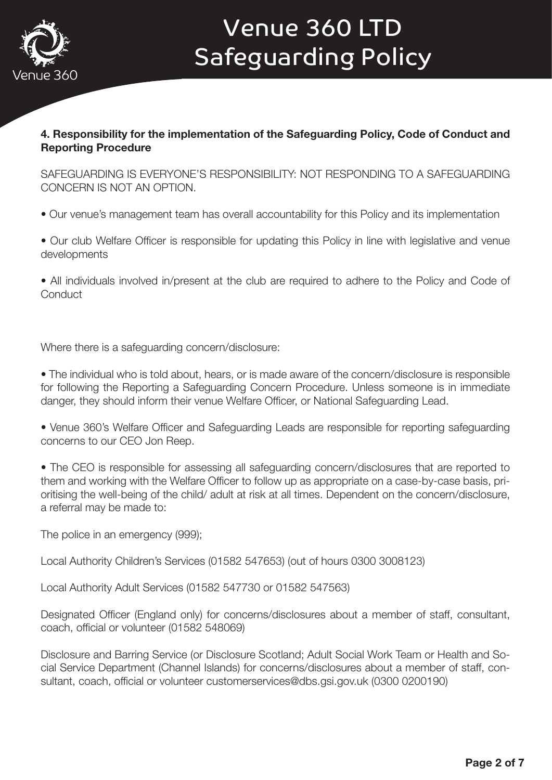

#### 4. Responsibility for the implementation of the Safeguarding Policy, Code of Conduct and Reporting Procedure

SAFEGUARDING IS EVERYONE'S RESPONSIBILITY: NOT RESPONDING TO A SAFEGUARDING CONCERN IS NOT AN OPTION.

- Our venue's management team has overall accountability for this Policy and its implementation
- Our club Welfare Officer is responsible for updating this Policy in line with legislative and venue developments

• All individuals involved in/present at the club are required to adhere to the Policy and Code of **Conduct** 

Where there is a safeguarding concern/disclosure:

• The individual who is told about, hears, or is made aware of the concern/disclosure is responsible for following the Reporting a Safeguarding Concern Procedure. Unless someone is in immediate danger, they should inform their venue Welfare Officer, or National Safeguarding Lead.

• Venue 360's Welfare Officer and Safeguarding Leads are responsible for reporting safeguarding concerns to our CEO Jon Reep.

• The CEO is responsible for assessing all safeguarding concern/disclosures that are reported to them and working with the Welfare Officer to follow up as appropriate on a case-by-case basis, prioritising the well-being of the child/ adult at risk at all times. Dependent on the concern/disclosure, a referral may be made to:

The police in an emergency (999);

Local Authority Children's Services (01582 547653) (out of hours 0300 3008123)

Local Authority Adult Services (01582 547730 or 01582 547563)

Designated Officer (England only) for concerns/disclosures about a member of staff, consultant, coach, official or volunteer (01582 548069)

Disclosure and Barring Service (or Disclosure Scotland; Adult Social Work Team or Health and Social Service Department (Channel Islands) for concerns/disclosures about a member of staff, consultant, coach, official or volunteer customerservices@dbs.gsi.gov.uk (0300 0200190)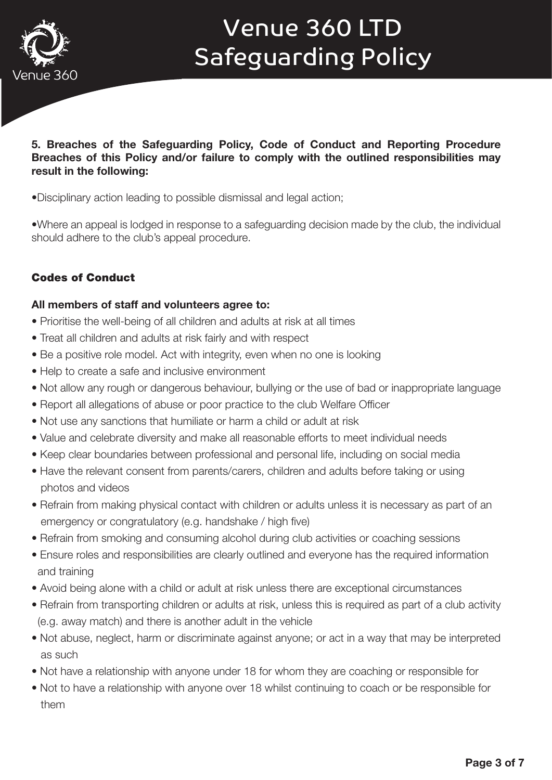

#### 5. Breaches of the Safeguarding Policy, Code of Conduct and Reporting Procedure Breaches of this Policy and/or failure to comply with the outlined responsibilities may result in the following:

•Disciplinary action leading to possible dismissal and legal action;

•Where an appeal is lodged in response to a safeguarding decision made by the club, the individual should adhere to the club's appeal procedure.

### Codes of Conduct

#### All members of staff and volunteers agree to:

- Prioritise the well-being of all children and adults at risk at all times
- Treat all children and adults at risk fairly and with respect
- Be a positive role model. Act with integrity, even when no one is looking
- Help to create a safe and inclusive environment
- Not allow any rough or dangerous behaviour, bullying or the use of bad or inappropriate language
- Report all allegations of abuse or poor practice to the club Welfare Officer
- Not use any sanctions that humiliate or harm a child or adult at risk
- Value and celebrate diversity and make all reasonable efforts to meet individual needs
- Keep clear boundaries between professional and personal life, including on social media
- Have the relevant consent from parents/carers, children and adults before taking or using photos and videos
- Refrain from making physical contact with children or adults unless it is necessary as part of an emergency or congratulatory (e.g. handshake / high five)
- Refrain from smoking and consuming alcohol during club activities or coaching sessions
- Ensure roles and responsibilities are clearly outlined and everyone has the required information and training
- Avoid being alone with a child or adult at risk unless there are exceptional circumstances
- Refrain from transporting children or adults at risk, unless this is required as part of a club activity (e.g. away match) and there is another adult in the vehicle
- Not abuse, neglect, harm or discriminate against anyone; or act in a way that may be interpreted as such
- Not have a relationship with anyone under 18 for whom they are coaching or responsible for
- Not to have a relationship with anyone over 18 whilst continuing to coach or be responsible for them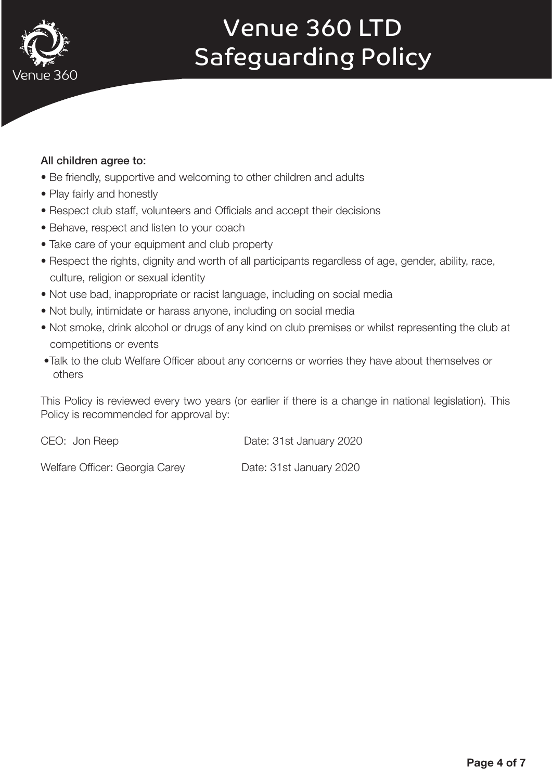

#### All children agree to:

- Be friendly, supportive and welcoming to other children and adults
- Play fairly and honestly
- Respect club staff, volunteers and Officials and accept their decisions
- Behave, respect and listen to your coach
- Take care of your equipment and club property
- Respect the rights, dignity and worth of all participants regardless of age, gender, ability, race, culture, religion or sexual identity
- Not use bad, inappropriate or racist language, including on social media
- Not bully, intimidate or harass anyone, including on social media
- Not smoke, drink alcohol or drugs of any kind on club premises or whilst representing the club at competitions or events
- •Talk to the club Welfare Officer about any concerns or worries they have about themselves or others

This Policy is reviewed every two years (or earlier if there is a change in national legislation). This Policy is recommended for approval by:

CEO: Jon Reep Date: 31st January 2020

Welfare Officer: Georgia Carey Date: 31st January 2020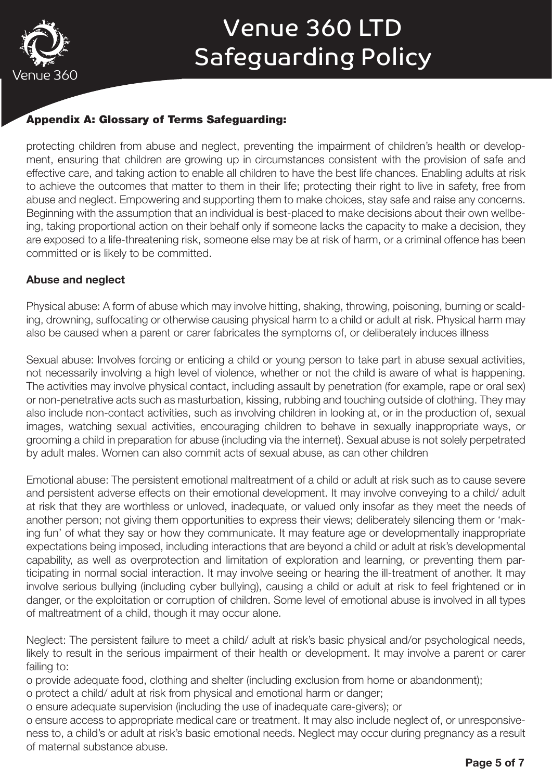

### Appendix A: Glossary of Terms Safeguarding:

protecting children from abuse and neglect, preventing the impairment of children's health or development, ensuring that children are growing up in circumstances consistent with the provision of safe and effective care, and taking action to enable all children to have the best life chances. Enabling adults at risk to achieve the outcomes that matter to them in their life; protecting their right to live in safety, free from abuse and neglect. Empowering and supporting them to make choices, stay safe and raise any concerns. Beginning with the assumption that an individual is best-placed to make decisions about their own wellbeing, taking proportional action on their behalf only if someone lacks the capacity to make a decision, they are exposed to a life-threatening risk, someone else may be at risk of harm, or a criminal offence has been committed or is likely to be committed.

#### Abuse and neglect

Physical abuse: A form of abuse which may involve hitting, shaking, throwing, poisoning, burning or scalding, drowning, suffocating or otherwise causing physical harm to a child or adult at risk. Physical harm may also be caused when a parent or carer fabricates the symptoms of, or deliberately induces illness

Sexual abuse: Involves forcing or enticing a child or young person to take part in abuse sexual activities, not necessarily involving a high level of violence, whether or not the child is aware of what is happening. The activities may involve physical contact, including assault by penetration (for example, rape or oral sex) or non-penetrative acts such as masturbation, kissing, rubbing and touching outside of clothing. They may also include non-contact activities, such as involving children in looking at, or in the production of, sexual images, watching sexual activities, encouraging children to behave in sexually inappropriate ways, or grooming a child in preparation for abuse (including via the internet). Sexual abuse is not solely perpetrated by adult males. Women can also commit acts of sexual abuse, as can other children

Emotional abuse: The persistent emotional maltreatment of a child or adult at risk such as to cause severe and persistent adverse effects on their emotional development. It may involve conveying to a child/ adult at risk that they are worthless or unloved, inadequate, or valued only insofar as they meet the needs of another person; not giving them opportunities to express their views; deliberately silencing them or 'making fun' of what they say or how they communicate. It may feature age or developmentally inappropriate expectations being imposed, including interactions that are beyond a child or adult at risk's developmental capability, as well as overprotection and limitation of exploration and learning, or preventing them participating in normal social interaction. It may involve seeing or hearing the ill-treatment of another. It may involve serious bullying (including cyber bullying), causing a child or adult at risk to feel frightened or in danger, or the exploitation or corruption of children. Some level of emotional abuse is involved in all types of maltreatment of a child, though it may occur alone.

Neglect: The persistent failure to meet a child/ adult at risk's basic physical and/or psychological needs, likely to result in the serious impairment of their health or development. It may involve a parent or carer failing to:

o provide adequate food, clothing and shelter (including exclusion from home or abandonment);

o protect a child/ adult at risk from physical and emotional harm or danger;

o ensure adequate supervision (including the use of inadequate care-givers); or

o ensure access to appropriate medical care or treatment. It may also include neglect of, or unresponsiveness to, a child's or adult at risk's basic emotional needs. Neglect may occur during pregnancy as a result of maternal substance abuse.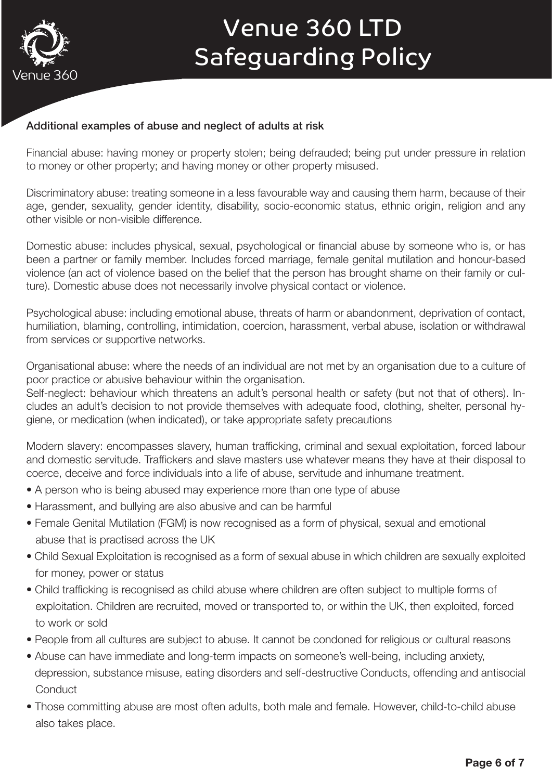

### Additional examples of abuse and neglect of adults at risk

Financial abuse: having money or property stolen; being defrauded; being put under pressure in relation to money or other property; and having money or other property misused.

Discriminatory abuse: treating someone in a less favourable way and causing them harm, because of their age, gender, sexuality, gender identity, disability, socio-economic status, ethnic origin, religion and any other visible or non-visible difference.

Domestic abuse: includes physical, sexual, psychological or financial abuse by someone who is, or has been a partner or family member. Includes forced marriage, female genital mutilation and honour-based violence (an act of violence based on the belief that the person has brought shame on their family or culture). Domestic abuse does not necessarily involve physical contact or violence.

Psychological abuse: including emotional abuse, threats of harm or abandonment, deprivation of contact, humiliation, blaming, controlling, intimidation, coercion, harassment, verbal abuse, isolation or withdrawal from services or supportive networks.

Organisational abuse: where the needs of an individual are not met by an organisation due to a culture of poor practice or abusive behaviour within the organisation.

Self-neglect: behaviour which threatens an adult's personal health or safety (but not that of others). Includes an adult's decision to not provide themselves with adequate food, clothing, shelter, personal hygiene, or medication (when indicated), or take appropriate safety precautions

Modern slavery: encompasses slavery, human trafficking, criminal and sexual exploitation, forced labour and domestic servitude. Traffickers and slave masters use whatever means they have at their disposal to coerce, deceive and force individuals into a life of abuse, servitude and inhumane treatment.

- A person who is being abused may experience more than one type of abuse
- Harassment, and bullying are also abusive and can be harmful
- Female Genital Mutilation (FGM) is now recognised as a form of physical, sexual and emotional abuse that is practised across the UK
- Child Sexual Exploitation is recognised as a form of sexual abuse in which children are sexually exploited for money, power or status
- Child trafficking is recognised as child abuse where children are often subject to multiple forms of exploitation. Children are recruited, moved or transported to, or within the UK, then exploited, forced to work or sold
- People from all cultures are subject to abuse. It cannot be condoned for religious or cultural reasons
- Abuse can have immediate and long-term impacts on someone's well-being, including anxiety, depression, substance misuse, eating disorders and self-destructive Conducts, offending and antisocial **Conduct**
- Those committing abuse are most often adults, both male and female. However, child-to-child abuse also takes place.